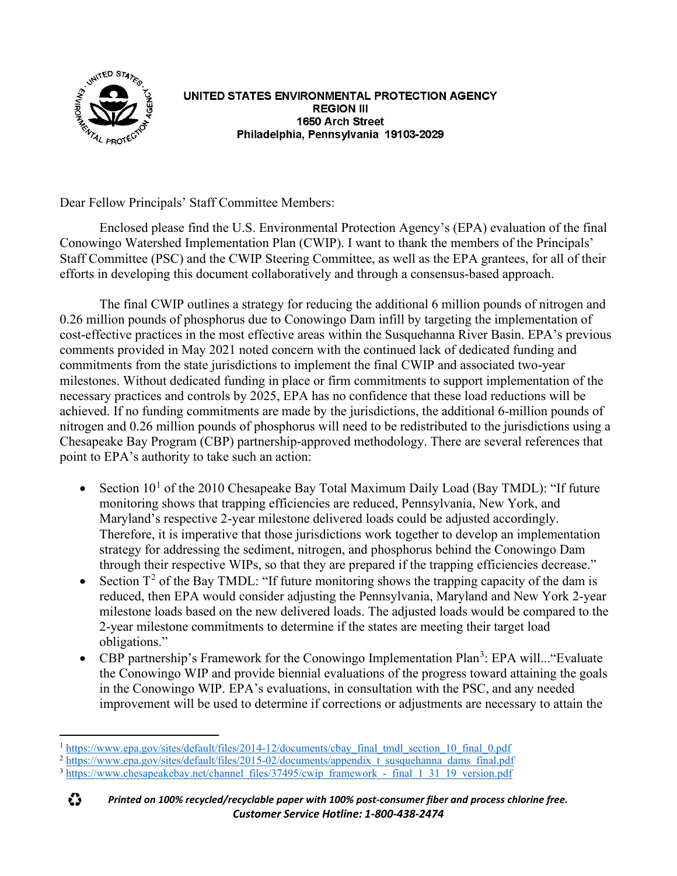

#### UNITED STATES ENVIRONMENTAL PROTECTION AGENCY **REGION III** 1650 Arch Street Philadelphia, Pennsylvania 19103-2029

Dear Fellow Principals' Staff Committee Members:

Enclosed please find the U.S. Environmental Protection Agency's (EPA) evaluation of the final Conowingo Watershed Implementation Plan (CWIP). I want to thank the members of the Principals' Staff Committee (PSC) and the CWIP Steering Committee, as well as the EPA grantees, for all of their efforts in developing this document collaboratively and through a consensus-based approach.

The final CWIP outlines a strategy for reducing the additional 6 million pounds of nitrogen and 0.26 million pounds of phosphorus due to Conowingo Dam infill by targeting the implementation of cost-effective practices in the most effective areas within the Susquehanna River Basin. EPA's previous comments provided in May 2021 noted concern with the continued lack of dedicated funding and commitments from the state jurisdictions to implement the final CWIP and associated two-year milestones. Without dedicated funding in place or firm commitments to support implementation of the necessary practices and controls by 2025, EPA has no confidence that these load reductions will be achieved. If no funding commitments are made by the jurisdictions, the additional 6-million pounds of nitrogen and 0.26 million pounds of phosphorus will need to be redistributed to the jurisdictions using a Chesapeake Bay Program (CBP) partnership-approved methodology. There are several references that point to EPA's authority to take such an action:

- Section  $10<sup>1</sup>$  $10<sup>1</sup>$  of the 2010 Chesapeake Bay Total Maximum Daily Load (Bay TMDL): "If future monitoring shows that trapping efficiencies are reduced, Pennsylvania, New York, and Maryland's respective 2-year milestone delivered loads could be adjusted accordingly. Therefore, it is imperative that those jurisdictions work together to develop an implementation strategy for addressing the sediment, nitrogen, and phosphorus behind the Conowingo Dam through their respective WIPs, so that they are prepared if the trapping efficiencies decrease."
- Section  $T^2$  $T^2$  of the Bay TMDL: "If future monitoring shows the trapping capacity of the dam is reduced, then EPA would consider adjusting the Pennsylvania, Maryland and New York 2-year milestone loads based on the new delivered loads. The adjusted loads would be compared to the 2-year milestone commitments to determine if the states are meeting their target load obligations."
- CBP partnership's Framework for the Conowingo Implementation Plan<sup>[3](#page-0-2)</sup>: EPA will... "Evaluate the Conowingo WIP and provide biennial evaluations of the progress toward attaining the goals in the Conowingo WIP. EPA's evaluations, in consultation with the PSC, and any needed improvement will be used to determine if corrections or adjustments are necessary to attain the

<span id="page-0-0"></span>[https://www.epa.gov/sites/default/files/2014-12/documents/cbay\\_final\\_tmdl\\_section\\_10\\_final\\_0.pdf](https://www.epa.gov/sites/default/files/2014-12/documents/cbay_final_tmdl_section_10_final_0.pdf)

<span id="page-0-1"></span><sup>&</sup>lt;sup>2</sup> [https://www.epa.gov/sites/default/files/2015-02/documents/appendix\\_t\\_susquehanna\\_dams\\_final.pdf](https://www.epa.gov/sites/default/files/2015-02/documents/appendix_t_susquehanna_dams_final.pdf)

<span id="page-0-2"></span><sup>&</sup>lt;sup>3</sup> https://www.chesapeakebay.net/channel\_files/37495/cwip\_framework<sup>-</sup>-\_final\_1\_31<sup>-</sup>19\_version.pdf

<sup>۞</sup> 

*Printed on 100% recycled/recyclable paper with 100% post-consumer fiber and process chlorine free. Customer Service Hotline: 1-800-438-2474*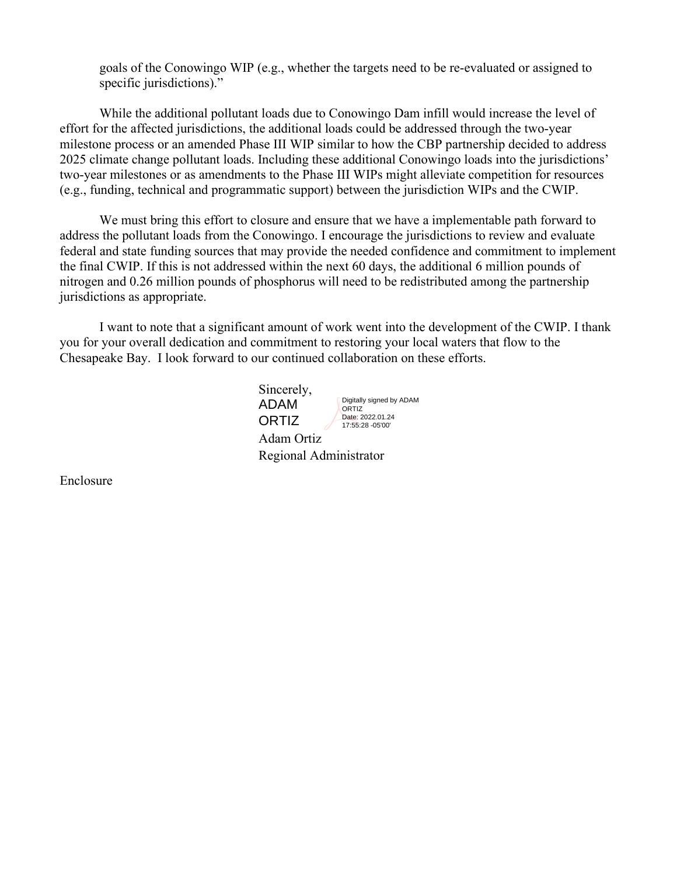goals of the Conowingo WIP (e.g., whether the targets need to be re-evaluated or assigned to specific jurisdictions)."

While the additional pollutant loads due to Conowingo Dam infill would increase the level of effort for the affected jurisdictions, the additional loads could be addressed through the two-year milestone process or an amended Phase III WIP similar to how the CBP partnership decided to address 2025 climate change pollutant loads. Including these additional Conowingo loads into the jurisdictions' two-year milestones or as amendments to the Phase III WIPs might alleviate competition for resources (e.g., funding, technical and programmatic support) between the jurisdiction WIPs and the CWIP.

We must bring this effort to closure and ensure that we have a implementable path forward to address the pollutant loads from the Conowingo. I encourage the jurisdictions to review and evaluate federal and state funding sources that may provide the needed confidence and commitment to implement the final CWIP. If this is not addressed within the next 60 days, the additional 6 million pounds of nitrogen and 0.26 million pounds of phosphorus will need to be redistributed among the partnership jurisdictions as appropriate.

I want to note that a significant amount of work went into the development of the CWIP. I thank you for your overall dedication and commitment to restoring your local waters that flow to the Chesapeake Bay. I look forward to our continued collaboration on these efforts.

Sincerely, Adam Ortiz Regional Administrator ADAM **ORTIZ** Digitally signed by ADAM **ORTIZ** Date: 2022.01.24 17:55:28 -05'00'

Enclosure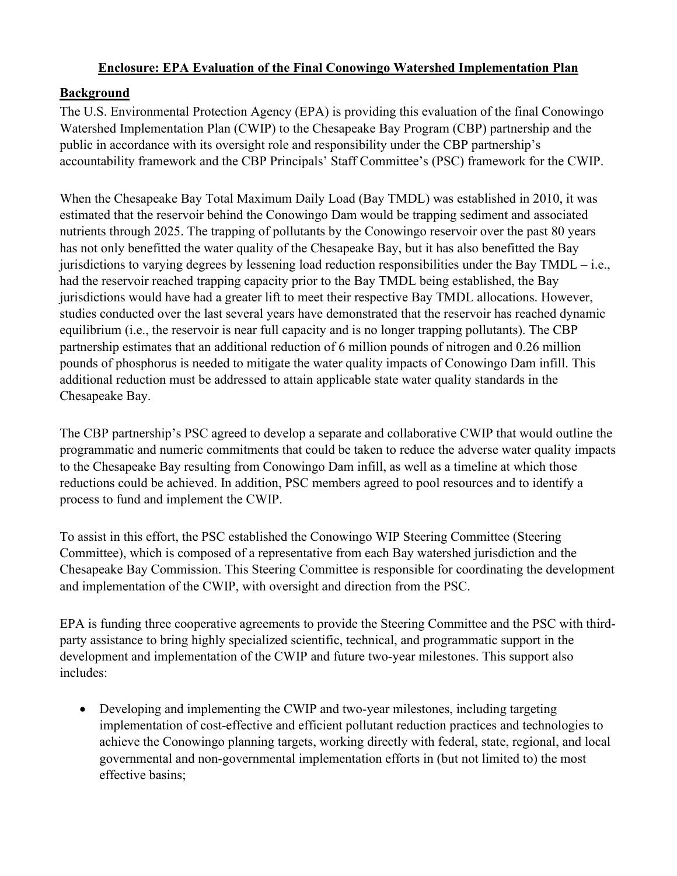# **Enclosure: EPA Evaluation of the Final Conowingo Watershed Implementation Plan**

# **Background**

The U.S. Environmental Protection Agency (EPA) is providing this evaluation of the final Conowingo Watershed Implementation Plan (CWIP) to the Chesapeake Bay Program (CBP) partnership and the public in accordance with its oversight role and responsibility under the CBP partnership's accountability framework and the CBP Principals' Staff Committee's (PSC) framework for the CWIP.

When the Chesapeake Bay Total Maximum Daily Load (Bay TMDL) was established in 2010, it was estimated that the reservoir behind the Conowingo Dam would be trapping sediment and associated nutrients through 2025. The trapping of pollutants by the Conowingo reservoir over the past 80 years has not only benefitted the water quality of the Chesapeake Bay, but it has also benefitted the Bay jurisdictions to varying degrees by lessening load reduction responsibilities under the Bay TMDL – i.e., had the reservoir reached trapping capacity prior to the Bay TMDL being established, the Bay jurisdictions would have had a greater lift to meet their respective Bay TMDL allocations. However, studies conducted over the last several years have demonstrated that the reservoir has reached dynamic equilibrium (i.e., the reservoir is near full capacity and is no longer trapping pollutants). The CBP partnership estimates that an additional reduction of 6 million pounds of nitrogen and 0.26 million pounds of phosphorus is needed to mitigate the water quality impacts of Conowingo Dam infill. This additional reduction must be addressed to attain applicable state water quality standards in the Chesapeake Bay.

The CBP partnership's PSC agreed to develop a separate and collaborative CWIP that would outline the programmatic and numeric commitments that could be taken to reduce the adverse water quality impacts to the Chesapeake Bay resulting from Conowingo Dam infill, as well as a timeline at which those reductions could be achieved. In addition, PSC members agreed to pool resources and to identify a process to fund and implement the CWIP.

To assist in this effort, the PSC established the Conowingo WIP Steering Committee (Steering Committee), which is composed of a representative from each Bay watershed jurisdiction and the Chesapeake Bay Commission. This Steering Committee is responsible for coordinating the development and implementation of the CWIP, with oversight and direction from the PSC.

EPA is funding three cooperative agreements to provide the Steering Committee and the PSC with thirdparty assistance to bring highly specialized scientific, technical, and programmatic support in the development and implementation of the CWIP and future two-year milestones. This support also includes:

• Developing and implementing the CWIP and two-year milestones, including targeting implementation of cost-effective and efficient pollutant reduction practices and technologies to achieve the Conowingo planning targets, working directly with federal, state, regional, and local governmental and non-governmental implementation efforts in (but not limited to) the most effective basins;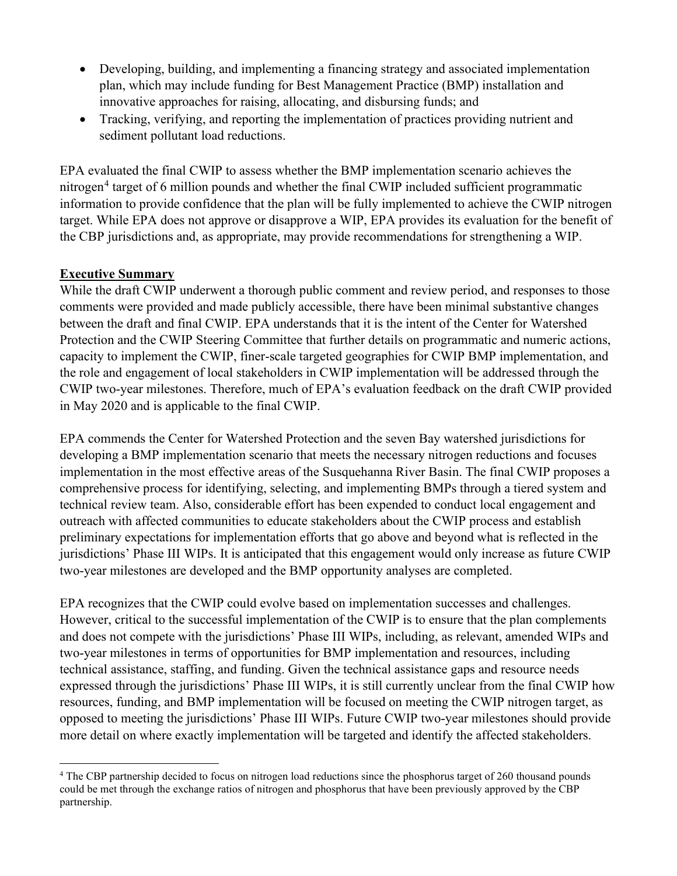- Developing, building, and implementing a financing strategy and associated implementation plan, which may include funding for Best Management Practice (BMP) installation and innovative approaches for raising, allocating, and disbursing funds; and
- Tracking, verifying, and reporting the implementation of practices providing nutrient and sediment pollutant load reductions.

EPA evaluated the final CWIP to assess whether the BMP implementation scenario achieves the nitrogen<sup>[4](#page-3-0)</sup> target of 6 million pounds and whether the final CWIP included sufficient programmatic information to provide confidence that the plan will be fully implemented to achieve the CWIP nitrogen target. While EPA does not approve or disapprove a WIP, EPA provides its evaluation for the benefit of the CBP jurisdictions and, as appropriate, may provide recommendations for strengthening a WIP.

### **Executive Summary**

While the draft CWIP underwent a thorough public comment and review period, and responses to those comments were provided and made publicly accessible, there have been minimal substantive changes between the draft and final CWIP. EPA understands that it is the intent of the Center for Watershed Protection and the CWIP Steering Committee that further details on programmatic and numeric actions, capacity to implement the CWIP, finer-scale targeted geographies for CWIP BMP implementation, and the role and engagement of local stakeholders in CWIP implementation will be addressed through the CWIP two-year milestones. Therefore, much of EPA's evaluation feedback on the draft CWIP provided in May 2020 and is applicable to the final CWIP.

EPA commends the Center for Watershed Protection and the seven Bay watershed jurisdictions for developing a BMP implementation scenario that meets the necessary nitrogen reductions and focuses implementation in the most effective areas of the Susquehanna River Basin. The final CWIP proposes a comprehensive process for identifying, selecting, and implementing BMPs through a tiered system and technical review team. Also, considerable effort has been expended to conduct local engagement and outreach with affected communities to educate stakeholders about the CWIP process and establish preliminary expectations for implementation efforts that go above and beyond what is reflected in the jurisdictions' Phase III WIPs. It is anticipated that this engagement would only increase as future CWIP two-year milestones are developed and the BMP opportunity analyses are completed.

EPA recognizes that the CWIP could evolve based on implementation successes and challenges. However, critical to the successful implementation of the CWIP is to ensure that the plan complements and does not compete with the jurisdictions' Phase III WIPs, including, as relevant, amended WIPs and two-year milestones in terms of opportunities for BMP implementation and resources, including technical assistance, staffing, and funding. Given the technical assistance gaps and resource needs expressed through the jurisdictions' Phase III WIPs, it is still currently unclear from the final CWIP how resources, funding, and BMP implementation will be focused on meeting the CWIP nitrogen target, as opposed to meeting the jurisdictions' Phase III WIPs. Future CWIP two-year milestones should provide more detail on where exactly implementation will be targeted and identify the affected stakeholders.

<span id="page-3-0"></span><sup>&</sup>lt;sup>4</sup> The CBP partnership decided to focus on nitrogen load reductions since the phosphorus target of 260 thousand pounds could be met through the exchange ratios of nitrogen and phosphorus that have been previously approved by the CBP partnership.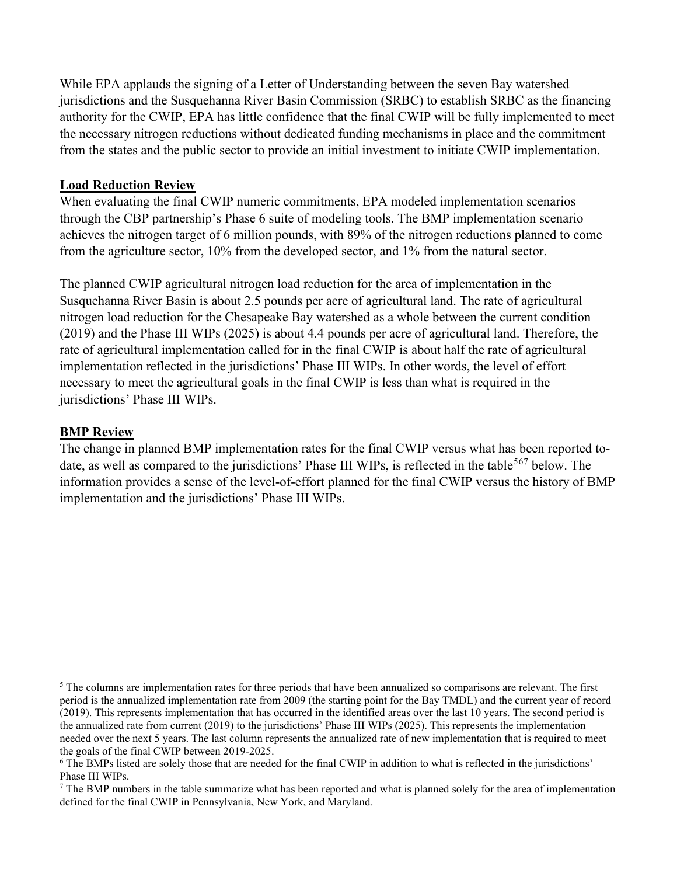While EPA applauds the signing of a Letter of Understanding between the seven Bay watershed jurisdictions and the Susquehanna River Basin Commission (SRBC) to establish SRBC as the financing authority for the CWIP, EPA has little confidence that the final CWIP will be fully implemented to meet the necessary nitrogen reductions without dedicated funding mechanisms in place and the commitment from the states and the public sector to provide an initial investment to initiate CWIP implementation.

#### **Load Reduction Review**

When evaluating the final CWIP numeric commitments, EPA modeled implementation scenarios through the CBP partnership's Phase 6 suite of modeling tools. The BMP implementation scenario achieves the nitrogen target of 6 million pounds, with 89% of the nitrogen reductions planned to come from the agriculture sector, 10% from the developed sector, and 1% from the natural sector.

The planned CWIP agricultural nitrogen load reduction for the area of implementation in the Susquehanna River Basin is about 2.5 pounds per acre of agricultural land. The rate of agricultural nitrogen load reduction for the Chesapeake Bay watershed as a whole between the current condition (2019) and the Phase III WIPs (2025) is about 4.4 pounds per acre of agricultural land. Therefore, the rate of agricultural implementation called for in the final CWIP is about half the rate of agricultural implementation reflected in the jurisdictions' Phase III WIPs. In other words, the level of effort necessary to meet the agricultural goals in the final CWIP is less than what is required in the jurisdictions' Phase III WIPs.

# **BMP Review**

The change in planned BMP implementation rates for the final CWIP versus what has been reported to-date, as well as compared to the jurisdictions' Phase III WIPs, is reflected in the table<sup>[5](#page-4-0)[6](#page-4-1)[7](#page-4-2)</sup> below. The information provides a sense of the level-of-effort planned for the final CWIP versus the history of BMP implementation and the jurisdictions' Phase III WIPs.

<span id="page-4-0"></span><sup>&</sup>lt;sup>5</sup> The columns are implementation rates for three periods that have been annualized so comparisons are relevant. The first period is the annualized implementation rate from 2009 (the starting point for the Bay TMDL) and the current year of record (2019). This represents implementation that has occurred in the identified areas over the last 10 years. The second period is the annualized rate from current (2019) to the jurisdictions' Phase III WIPs (2025). This represents the implementation needed over the next 5 years. The last column represents the annualized rate of new implementation that is required to meet the goals of the final CWIP between 2019-2025.

<span id="page-4-1"></span><sup>6</sup> The BMPs listed are solely those that are needed for the final CWIP in addition to what is reflected in the jurisdictions' Phase III WIPs.

<span id="page-4-2"></span> $<sup>7</sup>$  The BMP numbers in the table summarize what has been reported and what is planned solely for the area of implementation</sup> defined for the final CWIP in Pennsylvania, New York, and Maryland.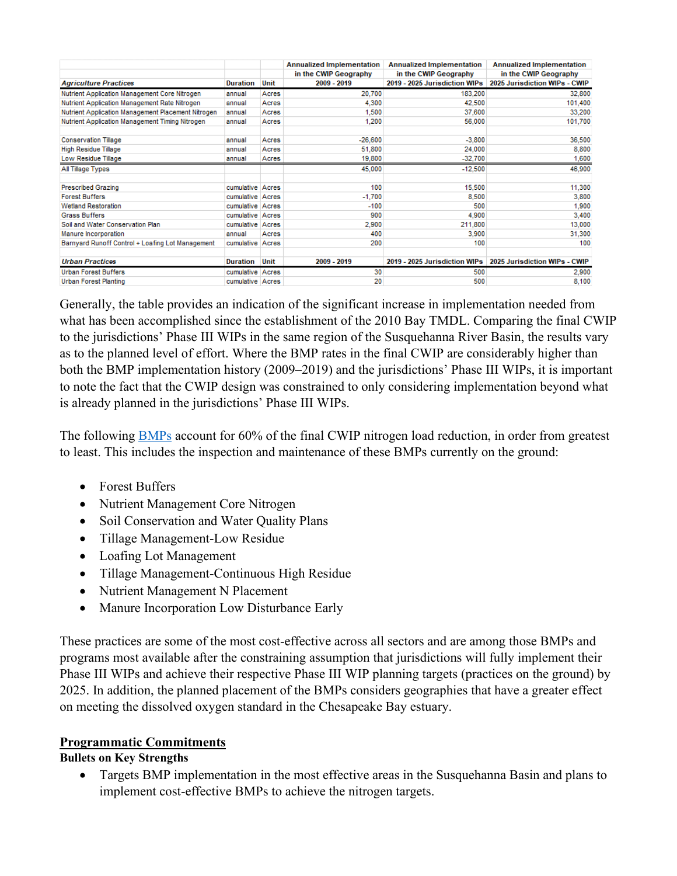|                                                    |                  |       | <b>Annualized Implementation</b> | <b>Annualized Implementation</b> | <b>Annualized Implementation</b>                              |
|----------------------------------------------------|------------------|-------|----------------------------------|----------------------------------|---------------------------------------------------------------|
|                                                    |                  |       | in the CWIP Geography            | in the CWIP Geography            | in the CWIP Geography                                         |
| <b>Agriculture Practices</b>                       | <b>Duration</b>  | Unit  | 2009 - 2019                      | 2019 - 2025 Jurisdiction WIPs    | 2025 Jurisdiction WIPs - CWIP                                 |
| Nutrient Application Management Core Nitrogen      | annual           | Acres | 20,700                           | 183,200                          | 32,800                                                        |
| Nutrient Application Management Rate Nitrogen      | annual           | Acres | 4,300                            | 42,500                           | 101,400                                                       |
| Nutrient Application Management Placement Nitrogen | annual           | Acres | 1,500                            | 37,600                           | 33,200                                                        |
| Nutrient Application Management Timing Nitrogen    | annual           | Acres | 1,200                            | 56,000                           | 101,700                                                       |
|                                                    |                  |       |                                  |                                  |                                                               |
| <b>Conservation Tillage</b>                        | annual           | Acres | $-26,600$                        | $-3,800$                         | 36,500                                                        |
| <b>High Residue Tillage</b>                        | annual           | Acres | 51,800                           | 24,000                           | 8,800                                                         |
| Low Residue Tillage                                | annual           | Acres | 19,800                           | $-32,700$                        | 1,600                                                         |
| All Tillage Types                                  |                  |       | 45.000                           | $-12,500$                        | 46,900                                                        |
|                                                    |                  |       |                                  |                                  |                                                               |
| <b>Prescribed Grazing</b>                          | cumulative       | Acres | 100                              | 15,500                           | 11,300                                                        |
| <b>Forest Buffers</b>                              | cumulative Acres |       | $-1,700$                         | 8,500                            | 3,800                                                         |
| <b>Wetland Restoration</b>                         | cumulative       | Acres | $-100$                           | 500                              | 1,900                                                         |
| <b>Grass Buffers</b>                               | cumulative       | Acres | 900                              | 4,900                            | 3,400                                                         |
| Soil and Water Conservation Plan                   | cumulative       | Acres | 2,900                            | 211,800                          | 13,000                                                        |
| Manure Incorporation                               | annual           | Acres | 400                              | 3,900                            | 31,300                                                        |
| Barnyard Runoff Control + Loafing Lot Management   | cumulative       | Acres | 200                              | 100                              | 100                                                           |
|                                                    |                  |       |                                  |                                  |                                                               |
| <b>Urban Practices</b>                             | <b>Duration</b>  | Unit  | 2009 - 2019                      |                                  | 2019 - 2025 Jurisdiction WIPs   2025 Jurisdiction WIPs - CWIP |
| <b>Urban Forest Buffers</b>                        | cumulative       | Acres | 30                               | 500                              | 2,900                                                         |
| Urban Forest Planting                              | cumulative Acres |       | 20                               | 500                              | 8,100                                                         |

Generally, the table provides an indication of the significant increase in implementation needed from what has been accomplished since the establishment of the 2010 Bay TMDL. Comparing the final CWIP to the jurisdictions' Phase III WIPs in the same region of the Susquehanna River Basin, the results vary as to the planned level of effort. Where the BMP rates in the final CWIP are considerably higher than both the BMP implementation history (2009–2019) and the jurisdictions' Phase III WIPs, it is important to note the fact that the CWIP design was constrained to only considering implementation beyond what is already planned in the jurisdictions' Phase III WIPs.

The following **BMPs** account for 60% of the final CWIP nitrogen load reduction, in order from greatest to least. This includes the inspection and maintenance of these BMPs currently on the ground:

- Forest Buffers
- Nutrient Management Core Nitrogen
- Soil Conservation and Water Quality Plans
- Tillage Management-Low Residue
- Loafing Lot Management
- Tillage Management-Continuous High Residue
- Nutrient Management N Placement
- Manure Incorporation Low Disturbance Early

These practices are some of the most cost-effective across all sectors and are among those BMPs and programs most available after the constraining assumption that jurisdictions will fully implement their Phase III WIPs and achieve their respective Phase III WIP planning targets (practices on the ground) by 2025. In addition, the planned placement of the BMPs considers geographies that have a greater effect on meeting the dissolved oxygen standard in the Chesapeake Bay estuary.

### **Programmatic Commitments**

### **Bullets on Key Strengths**

• Targets BMP implementation in the most effective areas in the Susquehanna Basin and plans to implement cost-effective BMPs to achieve the nitrogen targets.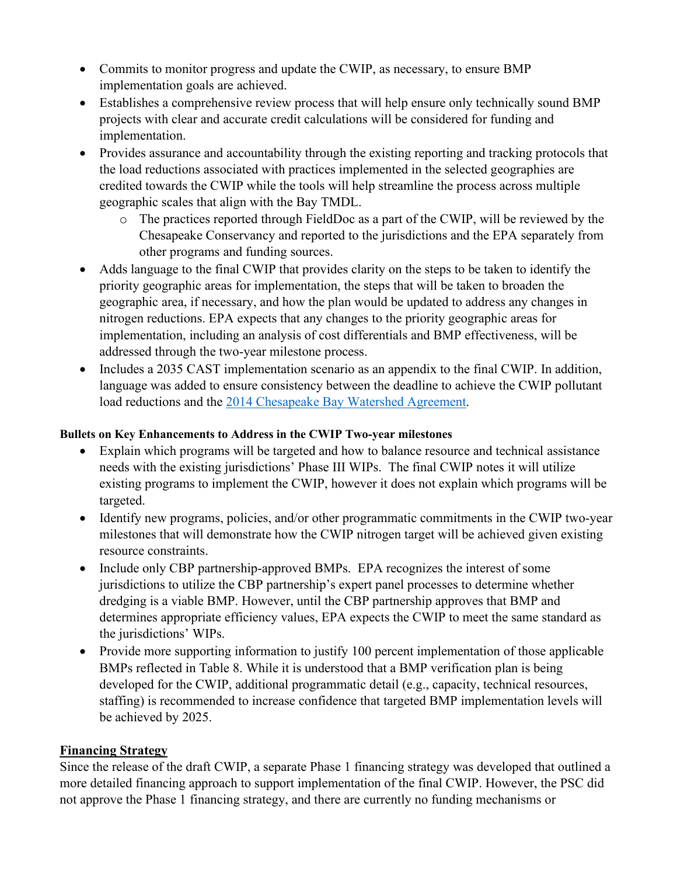- Commits to monitor progress and update the CWIP, as necessary, to ensure BMP implementation goals are achieved.
- Establishes a comprehensive review process that will help ensure only technically sound BMP projects with clear and accurate credit calculations will be considered for funding and implementation.
- Provides assurance and accountability through the existing reporting and tracking protocols that the load reductions associated with practices implemented in the selected geographies are credited towards the CWIP while the tools will help streamline the process across multiple geographic scales that align with the Bay TMDL.
	- o The practices reported through FieldDoc as a part of the CWIP, will be reviewed by the Chesapeake Conservancy and reported to the jurisdictions and the EPA separately from other programs and funding sources.
- Adds language to the final CWIP that provides clarity on the steps to be taken to identify the priority geographic areas for implementation, the steps that will be taken to broaden the geographic area, if necessary, and how the plan would be updated to address any changes in nitrogen reductions. EPA expects that any changes to the priority geographic areas for implementation, including an analysis of cost differentials and BMP effectiveness, will be addressed through the two-year milestone process.
- Includes a 2035 CAST implementation scenario as an appendix to the final CWIP. In addition, language was added to ensure consistency between the deadline to achieve the CWIP pollutant load reductions and the [2014 Chesapeake Bay Watershed Agreement.](https://www.chesapeakebay.net/documents/FINAL_Ches_Bay_Watershed_Agreement.withsignatures-HIres.pdf)

# **Bullets on Key Enhancements to Address in the CWIP Two-year milestones**

- Explain which programs will be targeted and how to balance resource and technical assistance needs with the existing jurisdictions' Phase III WIPs. The final CWIP notes it will utilize existing programs to implement the CWIP, however it does not explain which programs will be targeted.
- Identify new programs, policies, and/or other programmatic commitments in the CWIP two-year milestones that will demonstrate how the CWIP nitrogen target will be achieved given existing resource constraints.
- Include only CBP partnership-approved BMPs. EPA recognizes the interest of some jurisdictions to utilize the CBP partnership's expert panel processes to determine whether dredging is a viable BMP. However, until the CBP partnership approves that BMP and determines appropriate efficiency values, EPA expects the CWIP to meet the same standard as the jurisdictions' WIPs.
- Provide more supporting information to justify 100 percent implementation of those applicable BMPs reflected in Table 8. While it is understood that a BMP verification plan is being developed for the CWIP, additional programmatic detail (e.g., capacity, technical resources, staffing) is recommended to increase confidence that targeted BMP implementation levels will be achieved by 2025.

# **Financing Strategy**

Since the release of the draft CWIP, a separate Phase 1 financing strategy was developed that outlined a more detailed financing approach to support implementation of the final CWIP. However, the PSC did not approve the Phase 1 financing strategy, and there are currently no funding mechanisms or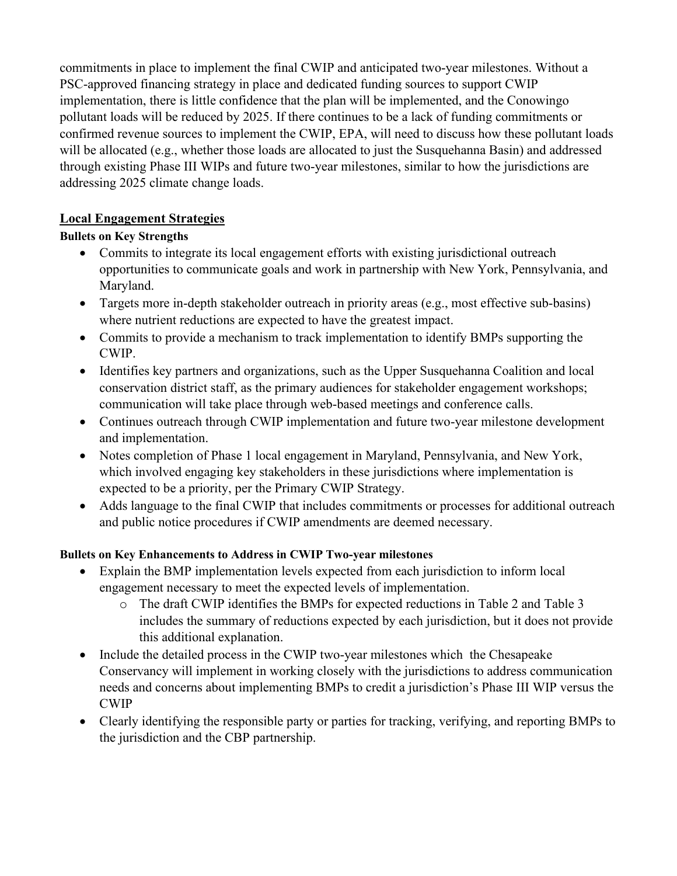commitments in place to implement the final CWIP and anticipated two-year milestones. Without a PSC-approved financing strategy in place and dedicated funding sources to support CWIP implementation, there is little confidence that the plan will be implemented, and the Conowingo pollutant loads will be reduced by 2025. If there continues to be a lack of funding commitments or confirmed revenue sources to implement the CWIP, EPA, will need to discuss how these pollutant loads will be allocated (e.g., whether those loads are allocated to just the Susquehanna Basin) and addressed through existing Phase III WIPs and future two-year milestones, similar to how the jurisdictions are addressing 2025 climate change loads.

# **Local Engagement Strategies**

# **Bullets on Key Strengths**

- Commits to integrate its local engagement efforts with existing jurisdictional outreach opportunities to communicate goals and work in partnership with New York, Pennsylvania, and Maryland.
- Targets more in-depth stakeholder outreach in priority areas (e.g., most effective sub-basins) where nutrient reductions are expected to have the greatest impact.
- Commits to provide a mechanism to track implementation to identify BMPs supporting the CWIP.
- Identifies key partners and organizations, such as the Upper Susquehanna Coalition and local conservation district staff, as the primary audiences for stakeholder engagement workshops; communication will take place through web-based meetings and conference calls.
- Continues outreach through CWIP implementation and future two-year milestone development and implementation.
- Notes completion of Phase 1 local engagement in Maryland, Pennsylvania, and New York, which involved engaging key stakeholders in these jurisdictions where implementation is expected to be a priority, per the Primary CWIP Strategy.
- Adds language to the final CWIP that includes commitments or processes for additional outreach and public notice procedures if CWIP amendments are deemed necessary.

# **Bullets on Key Enhancements to Address in CWIP Two-year milestones**

- Explain the BMP implementation levels expected from each jurisdiction to inform local engagement necessary to meet the expected levels of implementation.
	- o The draft CWIP identifies the BMPs for expected reductions in Table 2 and Table 3 includes the summary of reductions expected by each jurisdiction, but it does not provide this additional explanation.
- Include the detailed process in the CWIP two-year milestones which the Chesapeake Conservancy will implement in working closely with the jurisdictions to address communication needs and concerns about implementing BMPs to credit a jurisdiction's Phase III WIP versus the CWIP
- Clearly identifying the responsible party or parties for tracking, verifying, and reporting BMPs to the jurisdiction and the CBP partnership.